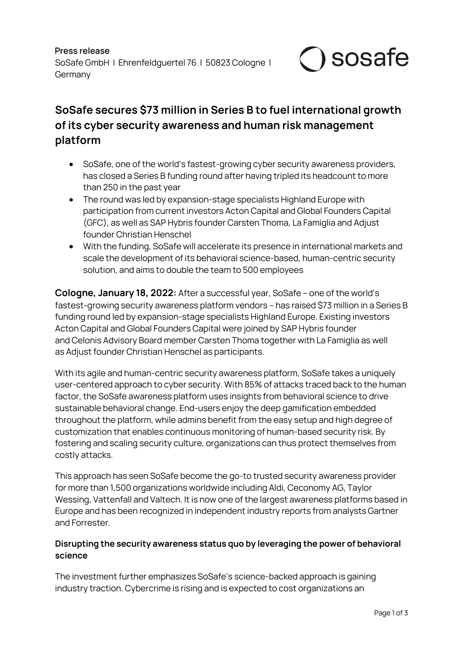**Press release** SoSafe GmbH | Ehrenfeldguertel 76 | 50823 Cologne | **Germany** 



# **SoSafe secures \$73 million in Series B to fuel international growth of its cyber security awareness and human risk management platform**

- SoSafe, one of the world's fastest-growing cyber security awareness providers, has closed a Series B funding round after having tripled its headcount to more than 250 in the past year
- The round was led by expansion-stage specialists Highland Europe with participation from current investors Acton Capital and Global Founders Capital (GFC), as well as SAP Hybris founder Carsten Thoma, La Famiglia and Adjust founder Christian Henschel
- With the funding, SoSafe will accelerate its presence in international markets and scale the development of its behavioral science-based, human-centric security solution, and aims to double the team to 500 employees

**Cologne, January 18, 2022:** After a successful year, SoSafe – one of the world's fastest-growing security awareness platform vendors – has raised \$73 million in a Series B funding round led by expansion-stage specialists Highland Europe. Existing investors Acton Capital and Global Founders Capital were joined by SAP Hybris founder and Celonis Advisory Board member Carsten Thoma together with La Famiglia as well as Adjust founder Christian Henschel as participants.

With its agile and human-centric security awareness platform, SoSafe takes a uniquely user-centered approach to cyber security. With 85% of attacks traced back to the human factor, the SoSafe awareness platform uses insights from behavioral science to drive sustainable behavioral change. End-users enjoy the deep gamification embedded throughout the platform, while admins benefit from the easy setup and high degree of customization that enables continuous monitoring of human-based security risk. By fostering and scaling security culture, organizations can thus protect themselves from costly attacks.

This approach has seen SoSafe become the go-to trusted security awareness provider for more than 1,500 organizations worldwide including Aldi, Ceconomy AG, Taylor Wessing, Vattenfall and Valtech. It is now one of the largest awareness platforms based in Europe and has been recognized in independent industry reports from analysts Gartner and Forrester.

## **Disrupting the security awareness status quo by leveraging the power of behavioral science**

The investment further emphasizes SoSafe's science-backed approach is gaining industry traction. Cybercrime is rising and is expected to cost organizations an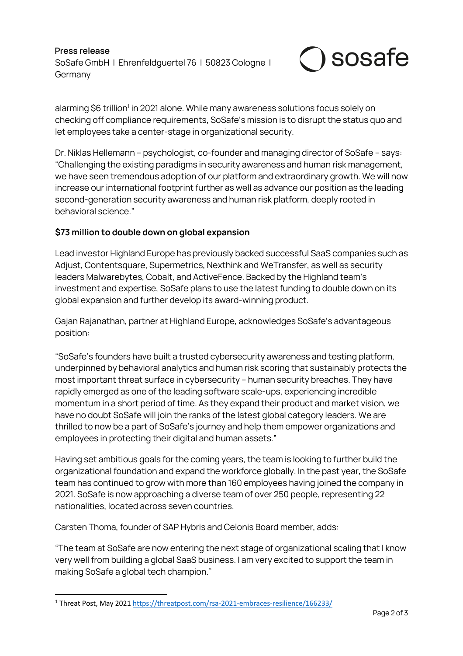**Press release** SoSafe GmbH | Ehrenfeldguertel 76 | 50823 Cologne | Germany



alarming \$6 trillion<sup>1</sup> in 2021 alone. While many awareness solutions focus solely on checking off compliance requirements, SoSafe's mission is to disrupt the status quo and let employees take a center-stage in organizational security.

Dr. Niklas Hellemann – psychologist, co-founder and managing director of SoSafe – says: "Challenging the existing paradigms in security awareness and human risk management, we have seen tremendous adoption of our platform and extraordinary growth. We will now increase our international footprint further as well as advance our position as the leading second-generation security awareness and human risk platform, deeply rooted in behavioral science."

### **\$73 million to double down on global expansion**

Lead investor Highland Europe has previously backed successful SaaS companies such as Adjust, Contentsquare, Supermetrics, Nexthink and WeTransfer, as well as security leaders Malwarebytes, Cobalt, and ActiveFence. Backed by the Highland team's investment and expertise, SoSafe plans to use the latest funding to double down on its global expansion and further develop its award-winning product.

Gajan Rajanathan, partner at Highland Europe, acknowledges SoSafe's advantageous position:

"SoSafe's founders have built a trusted cybersecurity awareness and testing platform, underpinned by behavioral analytics and human risk scoring that sustainably protects the most important threat surface in cybersecurity – human security breaches. They have rapidly emerged as one of the leading software scale-ups, experiencing incredible momentum in a short period of time. As they expand their product and market vision, we have no doubt SoSafe will join the ranks of the latest global category leaders. We are thrilled to now be a part of SoSafe's journey and help them empower organizations and employees in protecting their digital and human assets."

Having set ambitious goals for the coming years, the team is looking to further build the organizational foundation and expand the workforce globally. In the past year, the SoSafe team has continued to grow with more than 160 employees having joined the company in 2021. SoSafe is now approaching a diverse team of over 250 people, representing 22 nationalities, located across seven countries.

Carsten Thoma, founder of SAP Hybris and Celonis Board member, adds:

"The team at SoSafe are now entering the next stage of organizational scaling that I know very well from building a global SaaS business. I am very excited to support the team in making SoSafe a global tech champion."

<sup>1</sup> Threat Post, May 2021 https://threatpost.com/rsa-2021-embraces-resilience/166233/